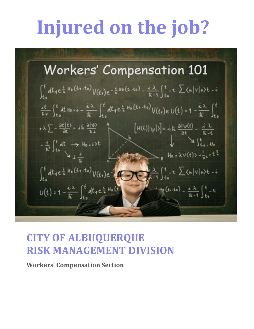# **Injured on the job?**

**Workers' Compensation 101**  $\int_{t}^{t} dt_{1} e^{\frac{i}{h} H_{0}(t_{1} \cdot t_{0})} V(t_{1}) e^{-\frac{i}{h} H_{0}(t_{1} \cdot t_{0}) - \frac{i}{h} \cdot 1} \int_{t_{0}}^{t} t(t_{1} \sum_{n} \langle n|v|n \rangle t - i$  $\frac{it}{kv}\int_{t_0}^t dt dt + i\theta \cdot \dot{x} - \frac{i\lambda}{k} \int_{t_0}^t dt_1 e^{\frac{i}{k}H_0(t_1,t_0)} V(t_1)eU(t) = 1 - \frac{i\lambda}{k} \int_{t_0}^t$  $[H(t)|\psi|$ ) = i k  $\frac{\partial |\psi(t)|}{\partial t} - \frac{i}{k} \frac{\lambda}{t}$  $+\lambda \sum -\frac{\partial t(t)}{\partial t}$  = it  $\frac{\partial |\Psi|}{\partial t}$  $\int_{t_1}^{t_2} dt$  $-\frac{1}{h^2}\int_{t_0}^{t} dt \rightarrow \text{H}_{0} + \text{i}t$  $\sum_{\mathbf{g}}$  H<sub>0</sub> +  $\lambda$ V(t) >  $\frac{1}{3}$  + t<sup>1</sup>  $\int_{t_0}^t dt_1 e^{\frac{t}{h}H_0(t_1,t_0)} V(t_1) e^{-\frac{t}{h} \int_{t_0}^t \frac{\lambda}{h-1} \int_{t_0}^t -t \sum_{n} \langle h|v|n \rangle t - t}$  $U(t) = 1 - \frac{i\lambda}{\hbar} \int_{t_0}^{t} dt_1 e^{\frac{i}{\hbar} H_0(t)}$  $\frac{1}{k+1}$   $\int_{0}^{k} t^{n} e^{-(k-1)x} dx = \frac{1}{k+1} \int_{0}^{k} t^{n} dx$ 

# **CITY OF ALBUQUERQUE RISK MANAGEMENT DIVISION**

**Workers' Compensation Section**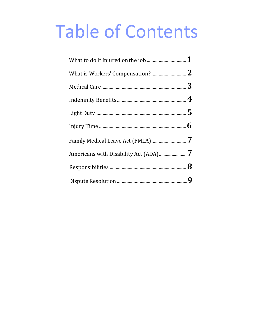# **Table of Contents**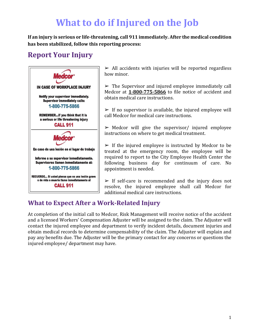# **What to do if Injured on the Job**

<span id="page-2-0"></span>**If an injury is serious or life-threatening, call 911 immediately. After the medical condition has been stabilized, follow this reporting process:**

## **Report Your Injury**



 $\geq$  All accidents with injuries will be reported regardless how minor.

 $\triangleright$  The Supervisor and injured employee immediately call Medcor at **1-800-775-5866** to file notice of accident and obtain medical care instructions.

 $\triangleright$  If no supervisor is available, the injured employee will call Medcor for medical care instructions.

 $\triangleright$  Medcor will give the supervisor/ injured employee instructions on where to get medical treatment.

 $\triangleright$  If the injured employee is instructed by Medcor to be treated at the emergency room, the employee will be required to report to the City Employee Health Center the following business day for continuum of care. No appointment is needed.

 $\triangleright$  If self-care is recommended and the injury does not resolve, the injured employee shall call Medcor for additional medical care instructions.

## **What to Expect After a Work-Related Injury**

At completion of the initial call to Medcor, Risk Management will receive notice of the accident and a licensed Workers' Compensation Adjuster will be assigned to the claim. The Adjuster will contact the injured employee and department to verify incident details, document injuries and obtain medical records to determine compensability of the claim. The Adjuster will explain and pay any benefits due. The Adjuster will be the primary contact for any concerns or questions the injured employee/ department may have.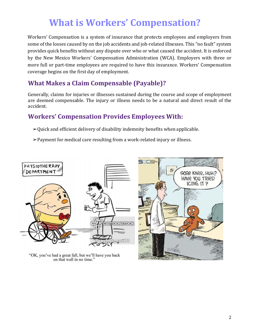# **What is Workers' Compensation?**

<span id="page-3-0"></span>Workers' Compensation is a system of insurance that protects employees and employers from some of the losses caused by on the job accidents and job-related illnesses. This "no fault" system provides quick benefits without any dispute over who or what caused the accident. It is enforced by the New Mexico Workers' Compensation Administration (WCA). Employers with three or more full or part-time employees are required to have this insurance. Workers' Compensation coverage begins on the first day of employment.

### **What Makes a Claim Compensable (Payable)?**

Generally, claims for injuries or illnesses sustained during the course and scope of employment are deemed compensable. The injury or illness needs to be a natural and direct result of the accident.

## **Workers' Compensation Provides Employees With:**

 $\rightarrow$ Quick and efficient delivery of disability indemnity benefits when applicable.

➢Payment for medical care resulting from a work-related injury or illness.



"OK, you've had a great fall, but we'll have you back on that wall in no time."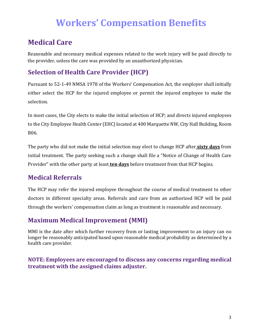# **Workers' Compensation Benefits**

## <span id="page-4-0"></span>**Medical Care**

Reasonable and necessary medical expenses related to the work injury will be paid directly to the provider, unless the care was provided by an unauthorized physician.

## **Selection of Health Care Provider (HCP)**

Pursuant to 52-1-49 NMSA 1978 of the Workers' Compensation Act, the employer shall initially either select the HCP for the injured employee or permit the injured employee to make the selection.

In most cases, the City elects to make the initial selection of HCP; and directs injured employees to the City Employee Health Center (EHC) located at 400 Marquette NW, City Hall Building, Room B06.

The party who did not make the initial selection may elect to change HCP after **sixty days** from initial treatment. The party seeking such a change shall file a "Notice of Change of Health Care Provider" with the other party at least **ten days** before treatment from that HCP begins.

## **Medical Referrals**

The HCP may refer the injured employee throughout the course of medical treatment to other doctors in different specialty areas. Referrals and care from an authorized HCP will be paid through the workers' compensation claim as long as treatment is reasonable and necessary.

## **Maximum Medical Improvement (MMI)**

MMI is the date after which further recovery from or lasting improvement to an injury can no longer be reasonably anticipated based upon reasonable medical probability as determined by a health care provider.

#### **NOTE: Employees are encouraged to discuss any concerns regarding medical treatment with the assigned claims adjuster.**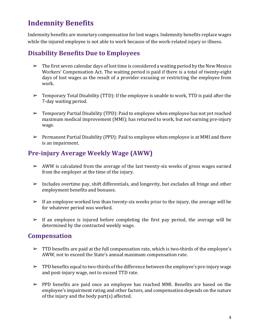## <span id="page-5-0"></span>**Indemnity Benefits**

Indemnity benefits are monetary compensation for lost wages. Indemnity benefits replace wages while the injured employee is not able to work because of the work-related injury or illness.

## **Disability Benefits Due to Employees**

- $\triangleright$  The first seven calendar days of lost time is considered a waiting period by the New Mexico Workers' Compensation Act. The waiting period is paid if there is a total of twenty-eight days of lost wages as the result of a provider excusing or restricting the employee from work.
- $\triangleright$  Temporary Total Disability (TTD): If the employee is unable to work, TTD is paid after the 7-day waiting period.
- ➢ Temporary Partial Disability (TPD): Paid to employee when employee has not yet reached maximum medical improvement (MMI); has returned to work, but not earning pre-injury wage.
- ➢ Permanent Partial Disability (PPD): Paid to employee when employee is at MMI and there is an impairment.

## **Pre-injury Average Weekly Wage (AWW)**

- $\triangleright$  AWW is calculated from the average of the last twenty-six weeks of gross wages earned from the employer at the time of the injury.
- $\triangleright$  Includes overtime pay, shift differentials, and longevity, but excludes all fringe and other employment benefits and bonuses.
- $\triangleright$  If an employee worked less than twenty-six weeks prior to the injury, the average will be for whatever period was worked.
- $\triangleright$  If an employee is injured before completing the first pay period, the average will be determined by the contracted weekly wage.

#### **Compensation**

- ➢ TTD benefits are paid at the full compensation rate, which is two-thirds of the employee's AWW, not to exceed the State's annual maximum compensation rate.
- $\triangleright$  TPD benefits equal to two-thirds of the difference between the employee's pre-injury wage and post-injury wage, not to exceed TTD rate.
- $\triangleright$  PPD benefits are paid once an employee has reached MMI. Benefits are based on the employee's impairment rating and other factors, and compensation depends on the nature of the injury and the body part(s) affected.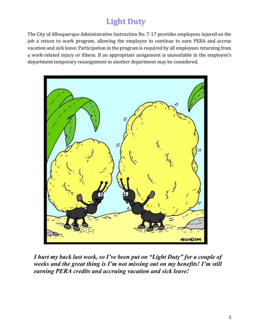# **Light Duty**

<span id="page-6-0"></span>The City of Albuquerque Administrative Instruction No. 7-17 provides employees injured on the job a return to work program, allowing the employee to continue to earn PERA and accrue vacation and sick leave. Participation in the program is required by all employees returning from a work-related injury or illness. If an appropriate assignment is unavailable in the employee's department temporary reassignment to another department may be considered.



*I hurt my back last week, so I've been put on "Light Duty" for a couple of weeks and the great thing is I'm not missing out on my benefits! I'm still earning PERA credits and accruing vacation and sick leave!*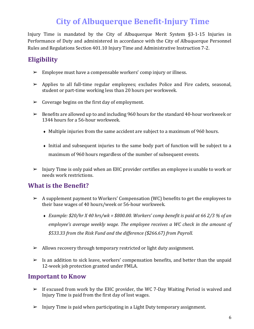# **City of Albuquerque Benefit-Injury Time**

Injury Time is mandated by the City of Albuquerque Merit System §3-1-15 Injuries in Performance of Duty and administered in accordance with the City of Albuquerque Personnel Rules and Regulations Section 401.10 Injury Time and Administrative Instruction 7-2.

## **Eligibility**

- $\triangleright$  Employee must have a compensable workers' comp injury or illness.
- $\triangleright$  Applies to all full-time regular employees; excludes Police and Fire cadets, seasonal, student or part-time working less than 20 hours per workweek.
- $\triangleright$  Coverage begins on the first day of employment.
- $\triangleright$  Benefits are allowed up to and including 960 hours for the standard 40-hour workweek or 1344 hours for a 56-hour workweek.
	- ♦ Multiple injuries from the same accident are subject to a maximum of 960 hours.
	- ♦ Initial and subsequent injuries to the same body part of function will be subject to a maximum of 960 hours regardless of the number of subsequent events.
- $\triangleright$  Injury Time is only paid when an EHC provider certifies an employee is unable to work or needs work restrictions.

#### **What is the Benefit?**

- ➢ A supplement payment to Workers' Compensation (WC) benefits to get the employees to their base wages of 40 hours/week or 56-hour workweek.
	- ♦ *Example: \$20/hr X 40 hrs/wk = \$800.00. Workers' comp benefit is paid at 66 2/3 % of an employee's average weekly wage. The employee receives a WC check in the amount of \$533.33 from the Risk Fund and the difference (\$266.67) from Payroll.*
- $\triangleright$  Allows recovery through temporary restricted or light duty assignment.
- $\triangleright$  Is an addition to sick leave, workers' compensation benefits, and better than the unpaid 12-week job protection granted under FMLA.

#### **Important to Know**

- $\triangleright$  If excused from work by the EHC provider, the WC 7-Day Waiting Period is waived and Injury Time is paid from the first day of lost wages.
- $\triangleright$  Injury Time is paid when participating in a Light Duty temporary assignment.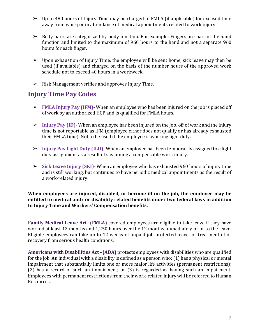- $\triangleright$  Up to 480 hours of Injury Time may be charged to FMLA (if applicable) for excused time away from work; or in attendance of medical appointments related to work injury.
- $\triangleright$  Body parts are categorized by body function. For example: Fingers are part of the hand function and limited to the maximum of 960 hours to the hand and not a separate 960 hours for each finger.
- $\triangleright$  Upon exhaustion of Injury Time, the employee will be sent home, sick leave may then be used (if available) and charged on the basis of the number hours of the approved work schedule not to exceed 40 hours in a workweek.
- $\triangleright$  Risk Management verifies and approves Injury Time.

## **Injury Time Pay Codes**

- ➢ **FMLA Injury Pay (IFM)** When an employee who has been injured on the job is placed off of work by an authorized HCP and is qualified for FMLA hours.
- ➢ **Injury Pay (ID)** When an employee has been injured on the job, off of work and the injury time is not reportable as IFM (employee either does not qualify or has already exhausted their FMLA time). Not to be used if the employee is working light duty.
- ➢ **Injury Pay Light Duty (ILD)** When an employee has been temporarily assigned to a light duty assignment as a result of sustaining a compensable work injury.
- ➢ **Sick Leave Injury (SKI)** When an employee who has exhausted 960 hours of injury time and is still working, but continues to have periodic medical appointments as the result of a work-related injury.

#### **When employees are injured, disabled, or become ill on the job, the employee may be entitled to medical and/ or disability related benefits under two federal laws in addition to Injury Time and Workers' Compensation benefits.**

**Family Medical Leave Act- (FMLA)** covered employees are eligible to take leave if they have worked at least 12 months and 1,250 hours over the 12 months immediately prior to the leave. Eligible employees can take up to 12 weeks of unpaid job-protected leave for treatment of or recovery from serious health conditions.

**Americans with Disabilities Act –(ADA)** protects employees with disabilities who are qualified for the job. An individual with a disability is defined as a person who: (1) has a physical or mental impairment that substantially limits one or more major life activities (permanent restrictions); (2) has a record of such an impairment; or (3) is regarded as having such an impairment. Employees with permanent restrictions from their work-related injury will be referred to Human Resources.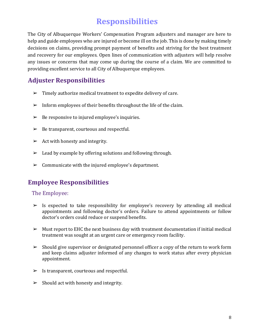## **Responsibilities**

<span id="page-9-0"></span>The City of Albuquerque Workers' Compensation Program adjusters and manager are here to help and guide employees who are injured or become ill on the job. This is done by making timely decisions on claims, providing prompt payment of benefits and striving for the best treatment and recovery for our employees. Open lines of communication with adjusters will help resolve any issues or concerns that may come up during the course of a claim. We are committed to providing excellent service to all City of Albuquerque employees.

## **Adjuster Responsibilities**

- $\triangleright$  Timely authorize medical treatment to expedite delivery of care.
- $\triangleright$  Inform employees of their benefits throughout the life of the claim.
- $\triangleright$  Be responsive to injured employee's inquiries.
- $\triangleright$  Be transparent, courteous and respectful.
- $\triangleright$  Act with honesty and integrity.
- $\geq$  Lead by example by offering solutions and following through.
- $\triangleright$  Communicate with the injured employee's department.

## **Employee Responsibilities**

#### The Employee:

- $\triangleright$  Is expected to take responsibility for employee's recovery by attending all medical appointments and following doctor's orders. Failure to attend appointments or follow doctor's orders could reduce or suspend benefits.
- $\triangleright$  Must report to EHC the next business day with treatment documentation if initial medical treatment was sought at an urgent care or emergency room facility.
- $\triangleright$  Should give supervisor or designated personnel officer a copy of the return to work form and keep claims adjuster informed of any changes to work status after every physician appointment.
- $\triangleright$  Is transparent, courteous and respectful.
- $\blacktriangleright$  Should act with honesty and integrity.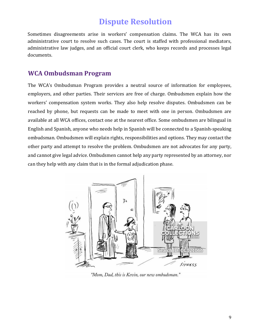## **Dispute Resolution**

<span id="page-10-0"></span>Sometimes disagreements arise in workers' compensation claims. The WCA has its own administrative court to resolve such cases. The court is staffed with professional mediators, administrative law judges, and an official court clerk, who keeps records and processes legal documents.

#### **WCA Ombudsman Program**

The WCA's Ombudsman Program provides a neutral source of information for employees, employers, and other parties. Their services are free of charge. Ombudsmen explain how the workers' compensation system works. They also help resolve disputes. Ombudsmen can be reached by phone, but requests can be made to meet with one in person. Ombudsmen are available at all WCA offices, contact one at the nearest office. Some ombudsmen are bilingual in English and Spanish, anyone who needs help in Spanish will be connected to a Spanish-speaking ombudsman. Ombudsmen will explain rights, responsibilities and options. They may contact the other party and attempt to resolve the problem. Ombudsmen are not advocates for any party, and cannot give legal advice. Ombudsmen cannot help any party represented by an attorney, nor can they help with any claim that is in the formal adjudication phase.



"Mom, Dad, this is Kevin, our new ombudsman."